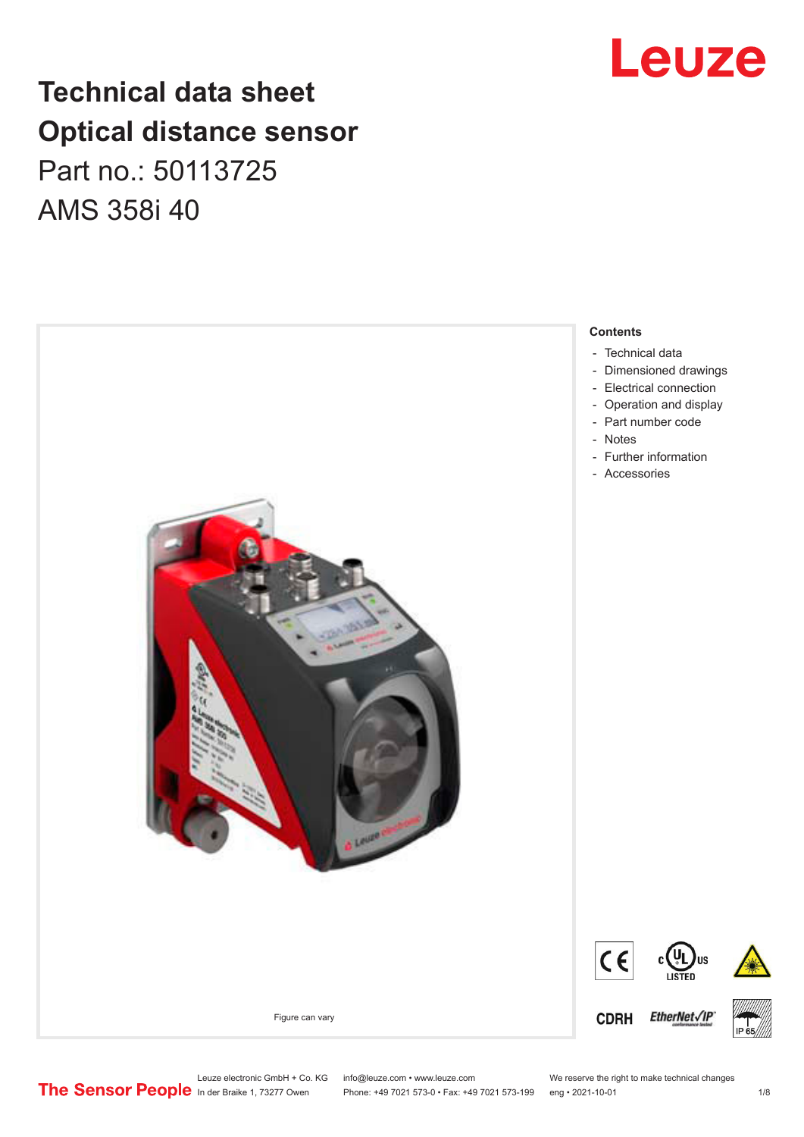## **Technical data sheet Optical distance sensor** Part no.: 50113725 AMS 358i 40





Leuze electronic GmbH + Co. KG info@leuze.com • www.leuze.com We reserve the right to make technical changes<br>
The Sensor People in der Braike 1, 73277 Owen Phone: +49 7021 573-0 • Fax: +49 7021 573-199 eng • 2021-10-01

Phone: +49 7021 573-0 • Fax: +49 7021 573-199 eng • 2021-10-01 1 2021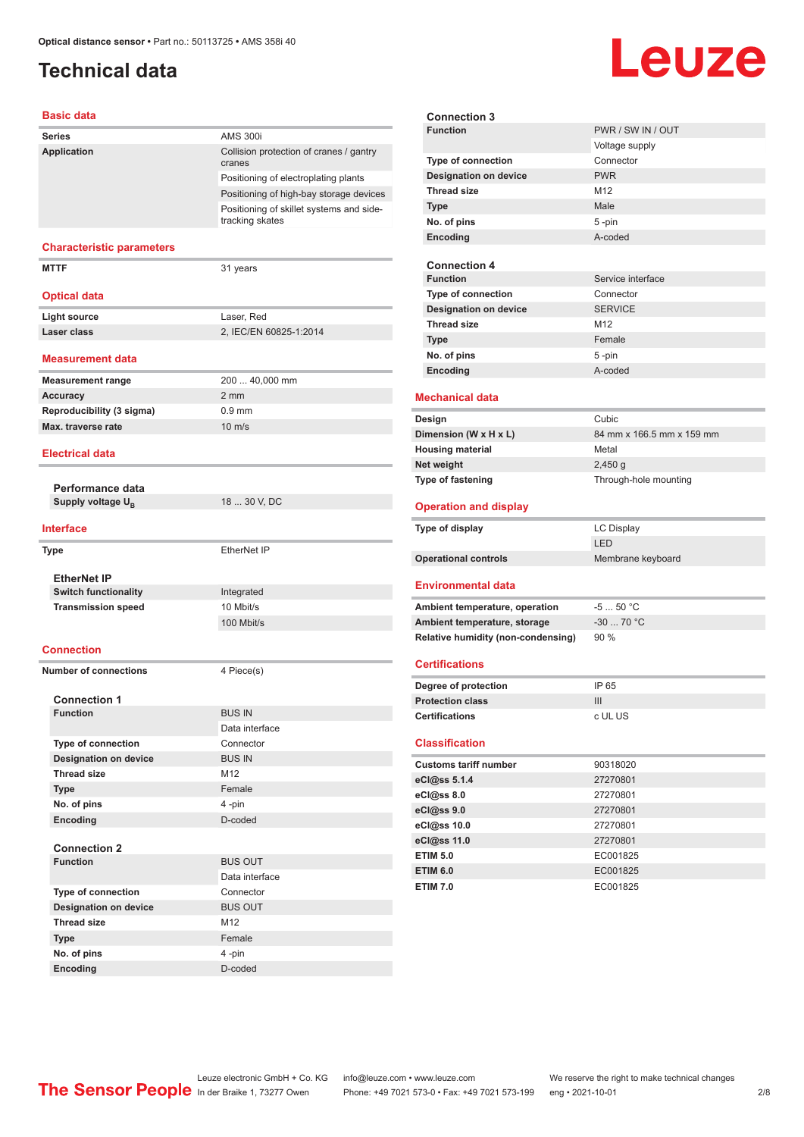## <span id="page-1-0"></span>**Technical data**

#### **Basic data**

| Dasit uata                       |                                                             |
|----------------------------------|-------------------------------------------------------------|
| <b>Series</b>                    | <b>AMS 300i</b>                                             |
| Application                      | Collision protection of cranes / gantry<br>cranes           |
|                                  | Positioning of electroplating plants                        |
|                                  | Positioning of high-bay storage devices                     |
|                                  | Positioning of skillet systems and side-<br>tracking skates |
| <b>Characteristic parameters</b> |                                                             |
| <b>MTTF</b>                      | 31 years                                                    |
| <b>Optical data</b>              |                                                             |
| <b>Light source</b>              | Laser, Red                                                  |
| Laser class                      | 2, IEC/EN 60825-1:2014                                      |
| <b>Measurement data</b>          |                                                             |
| <b>Measurement range</b>         | 200  40,000 mm                                              |
| <b>Accuracy</b>                  | $2 \, \text{mm}$                                            |
| Reproducibility (3 sigma)        | $0.9$ mm                                                    |
| Max. traverse rate               | $10 \text{ m/s}$                                            |
| <b>Electrical data</b>           |                                                             |
| Performance data                 |                                                             |
| Supply voltage U <sub>R</sub>    | 18  30 V, DC                                                |
| Interface                        |                                                             |
| <b>Type</b>                      | EtherNet IP                                                 |
|                                  |                                                             |
| <b>EtherNet IP</b>               |                                                             |
| <b>Switch functionality</b>      | Integrated                                                  |
| <b>Transmission speed</b>        | 10 Mbit/s<br>100 Mbit/s                                     |
|                                  |                                                             |
| Connection                       |                                                             |
| <b>Number of connections</b>     | 4 Piece(s)                                                  |
| <b>Connection 1</b>              |                                                             |
| <b>Function</b>                  | <b>BUS IN</b>                                               |
|                                  | Data interface                                              |
| <b>Type of connection</b>        | Connector                                                   |
| <b>Designation on device</b>     | <b>BUS IN</b>                                               |
| <b>Thread size</b>               | M12                                                         |
| <b>Type</b>                      | Female                                                      |
| No. of pins                      | 4-pin                                                       |
| Encoding                         | D-coded                                                     |
| <b>Connection 2</b>              |                                                             |
| <b>Function</b>                  | <b>BUS OUT</b>                                              |
|                                  | Data interface                                              |
| Type of connection               | Connector                                                   |
| <b>Designation on device</b>     | <b>BUS OUT</b>                                              |
| <b>Thread size</b>               | M12                                                         |
| Type                             | Female                                                      |
| No. of pins                      | 4-pin                                                       |
| Encoding                         | D-coded                                                     |

|                              |                                    | <b>Leuze</b>              |
|------------------------------|------------------------------------|---------------------------|
|                              |                                    |                           |
|                              |                                    |                           |
|                              | <b>Connection 3</b>                |                           |
|                              | <b>Function</b>                    | PWR / SW IN / OUT         |
|                              |                                    | Voltage supply            |
|                              | <b>Type of connection</b>          | Connector                 |
|                              | <b>Designation on device</b>       | <b>PWR</b>                |
|                              | <b>Thread size</b>                 | M12                       |
|                              | <b>Type</b>                        | Male                      |
|                              | No. of pins                        | 5-pin                     |
|                              | Encoding                           | A-coded                   |
|                              | <b>Connection 4</b>                |                           |
|                              | <b>Function</b>                    | Service interface         |
|                              | <b>Type of connection</b>          | Connector                 |
|                              | <b>Designation on device</b>       | <b>SERVICE</b>            |
|                              | <b>Thread size</b>                 | M <sub>12</sub>           |
|                              | <b>Type</b>                        | Female                    |
|                              | No. of pins                        | 5-pin                     |
|                              | Encoding                           | A-coded                   |
|                              |                                    |                           |
|                              | <b>Mechanical data</b>             |                           |
|                              | Design                             | Cubic                     |
|                              | Dimension (W x H x L)              | 84 mm x 166.5 mm x 159 mm |
|                              | <b>Housing material</b>            | Metal                     |
|                              | Net weight                         | $2,450$ g                 |
|                              | <b>Type of fastening</b>           | Through-hole mounting     |
|                              |                                    |                           |
| <b>Operation and display</b> |                                    |                           |
|                              | Type of display                    | <b>LC Display</b>         |
|                              |                                    | LED                       |
|                              | <b>Operational controls</b>        | Membrane keyboard         |
|                              | <b>Environmental data</b>          |                           |
|                              | Ambient temperature, operation     | $-550 °C$                 |
|                              | Ambient temperature, storage       | $-30$ 70 °C               |
|                              | Relative humidity (non-condensing) | 90 %                      |
|                              |                                    |                           |
|                              | <b>Certifications</b>              |                           |
|                              | Degree of protection               | IP 65                     |
|                              | <b>Protection class</b>            | III                       |
|                              | <b>Certifications</b>              | c UL US                   |
|                              |                                    |                           |
|                              | <b>Classification</b>              |                           |
|                              | <b>Customs tariff number</b>       | 90318020                  |
|                              | eCl@ss 5.1.4                       | 27270801                  |
|                              | eCl@ss 8.0                         | 27270801                  |
|                              | eCl@ss 9.0                         | 27270801                  |
|                              | eCl@ss 10.0                        | 27270801                  |
|                              | eCl@ss 11.0                        | 27270801                  |
|                              | <b>ETIM 5.0</b>                    | EC001825                  |
|                              | <b>ETIM 6.0</b>                    | EC001825                  |
|                              | <b>ETIM 7.0</b>                    | EC001825                  |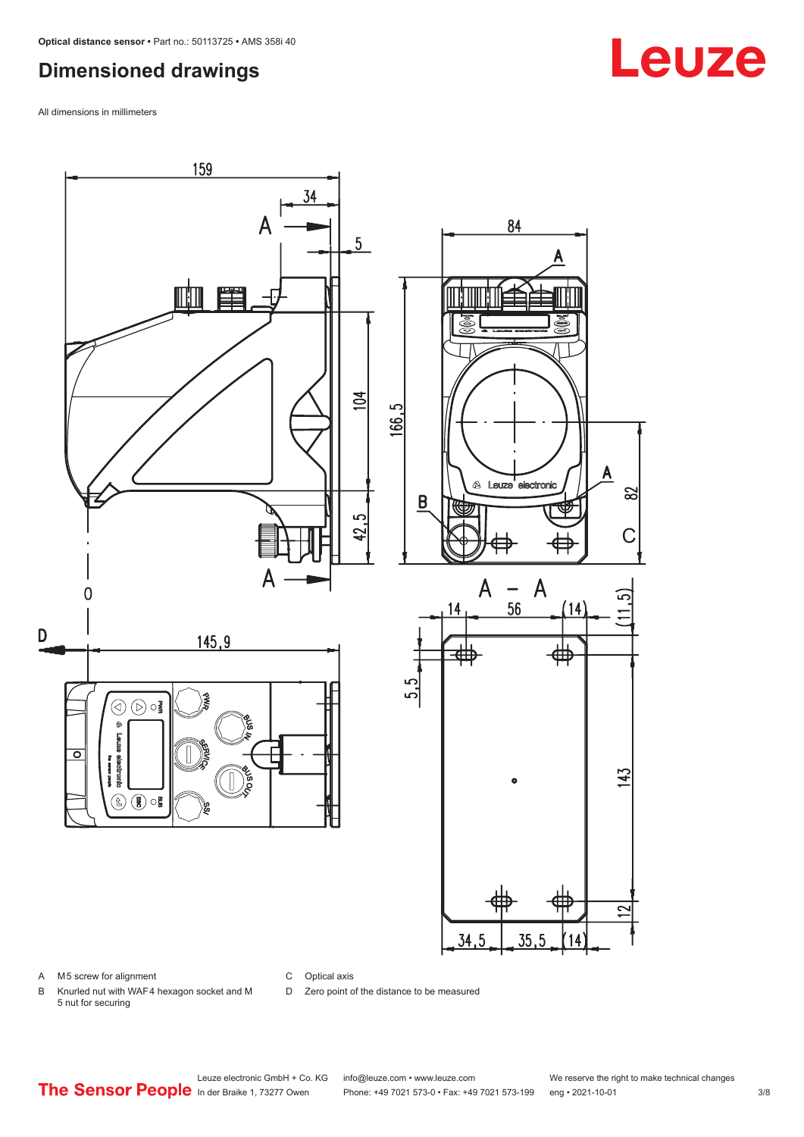#### <span id="page-2-0"></span>**Dimensioned drawings**

All dimensions in millimeters



A M5 screw for alignment

C Optical axis

D Zero point of the distance to be measured

B Knurled nut with WAF 4 hexagon socket and M 5 nut for securing

# **Leuze**

Leuze electronic GmbH + Co. KG info@leuze.com • www.leuze.com We reserve the right to make technical changes<br>
The Sensor People in der Braike 1, 73277 Owen Phone: +49 7021 573-0 • Fax: +49 7021 573-199 eng • 2021-10-01

Phone: +49 7021 573-0 • Fax: +49 7021 573-199 eng • 2021-10-01 3/8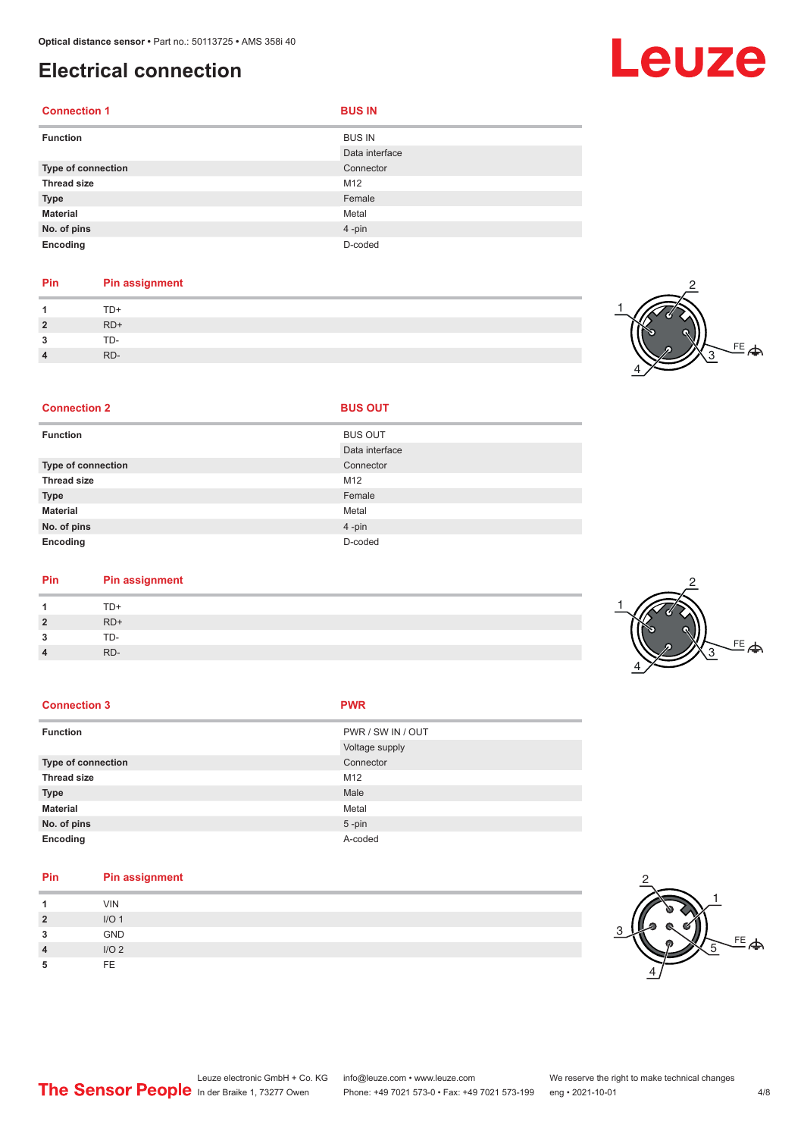#### <span id="page-3-0"></span>**Electrical connection**

| <b>Connection 1</b> | <b>BUS IN</b>                   |
|---------------------|---------------------------------|
| <b>Function</b>     | <b>BUS IN</b><br>Data interface |
| Type of connection  | Connector                       |
| <b>Thread size</b>  | M12                             |
| <b>Type</b>         | Female                          |
| <b>Material</b>     | Metal                           |
| No. of pins         | 4-pin                           |
| Encoding            | D-coded                         |

#### **Pin Pin assignment** 1 TD+<br>2 RD+ **2** RD+ **3** TD-**4** RD-

**Connection 2 BUS OUT** 



| <b>Function</b>    | <b>BUS OUT</b> |
|--------------------|----------------|
|                    | Data interface |
| Type of connection | Connector      |
| <b>Thread size</b> | M12            |
| <b>Type</b>        | Female         |
| <b>Material</b>    | Metal          |
| No. of pins        | $4 - pin$      |
| Encoding           | D-coded        |

| Pin | <b>Pin assignment</b> |
|-----|-----------------------|
|     | TD+                   |

| 1              | TD+   |
|----------------|-------|
| $\overline{2}$ | $RD+$ |
| 3              | TD-   |
| $\overline{4}$ | RD-   |

| <b>Connection 3</b> | <b>PWR</b>        |
|---------------------|-------------------|
| <b>Function</b>     | PWR / SW IN / OUT |
|                     | Voltage supply    |
| Type of connection  | Connector         |
| <b>Thread size</b>  | M12               |
| <b>Type</b>         | Male              |
| <b>Material</b>     | Metal             |
| No. of pins         | $5$ -pin          |
| Encoding            | A-coded           |

| Pin            | Pin assignment   |
|----------------|------------------|
|                | <b>VIN</b>       |
| $\overline{2}$ | I/O <sub>1</sub> |
| 3              | <b>GND</b>       |
| $\overline{4}$ | I/O2             |
| 5              | FE.              |





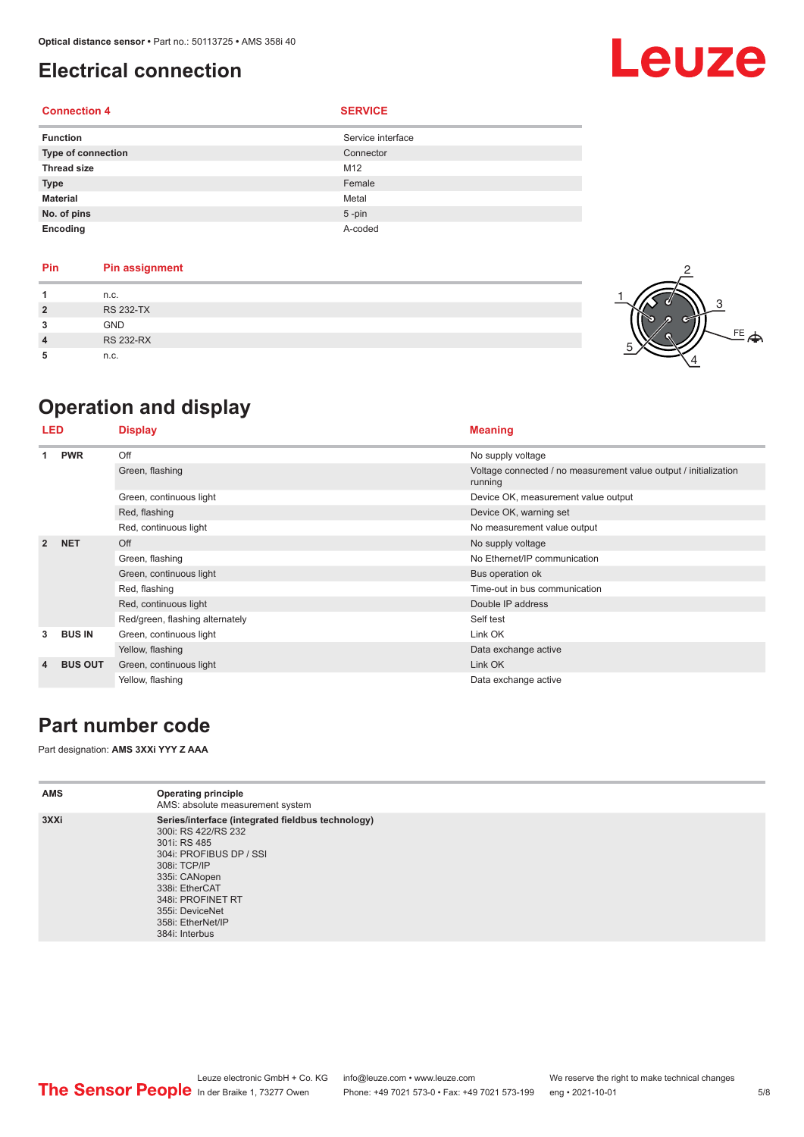### <span id="page-4-0"></span>**Electrical connection**

#### **Connection 4 SERVICE**

| <b>Function</b>    | Service interface |
|--------------------|-------------------|
| Type of connection | Connector         |
| <b>Thread size</b> | M12               |
| <b>Type</b>        | Female            |
| <b>Material</b>    | Metal             |
| No. of pins        | $5 - pin$         |
| Encoding           | A-coded           |

| <b>Pin</b>     | <b>Pin assignment</b> |
|----------------|-----------------------|
|                | n.c.                  |
| $\overline{2}$ | <b>RS 232-TX</b>      |
| 3              | <b>GND</b>            |
| 4              | <b>RS 232-RX</b>      |
|                | n.c.                  |



Leuze

## **Operation and display**

| <b>LED</b>     |                | <b>Display</b>                  | <b>Meaning</b>                                                              |  |
|----------------|----------------|---------------------------------|-----------------------------------------------------------------------------|--|
| 1              | <b>PWR</b>     | Off                             | No supply voltage                                                           |  |
|                |                | Green, flashing                 | Voltage connected / no measurement value output / initialization<br>running |  |
|                |                | Green, continuous light         | Device OK, measurement value output                                         |  |
|                |                | Red, flashing                   | Device OK, warning set                                                      |  |
|                |                | Red, continuous light           | No measurement value output                                                 |  |
| $\overline{2}$ | <b>NET</b>     | Off                             | No supply voltage                                                           |  |
|                |                | Green, flashing                 | No Ethernet/IP communication                                                |  |
|                |                | Green, continuous light         | Bus operation ok                                                            |  |
|                |                | Red, flashing                   | Time-out in bus communication                                               |  |
|                |                | Red, continuous light           | Double IP address                                                           |  |
|                |                | Red/green, flashing alternately | Self test                                                                   |  |
| 3              | <b>BUS IN</b>  | Green, continuous light         | Link OK                                                                     |  |
|                |                | Yellow, flashing                | Data exchange active                                                        |  |
| 4              | <b>BUS OUT</b> | Green, continuous light         | Link OK                                                                     |  |
|                |                | Yellow, flashing                | Data exchange active                                                        |  |

#### **Part number code**

Part designation: **AMS 3XXi YYY Z AAA**

| <b>AMS</b> | <b>Operating principle</b><br>AMS: absolute measurement system                                                                                                                                                                                        |
|------------|-------------------------------------------------------------------------------------------------------------------------------------------------------------------------------------------------------------------------------------------------------|
| 3XXi       | Series/interface (integrated fieldbus technology)<br>300i: RS 422/RS 232<br>301i: RS 485<br>304i: PROFIBUS DP / SSI<br>308i: TCP/IP<br>335i: CANopen<br>338i: EtherCAT<br>348i: PROFINET RT<br>355i: DeviceNet<br>358i: EtherNet/IP<br>384i: Interbus |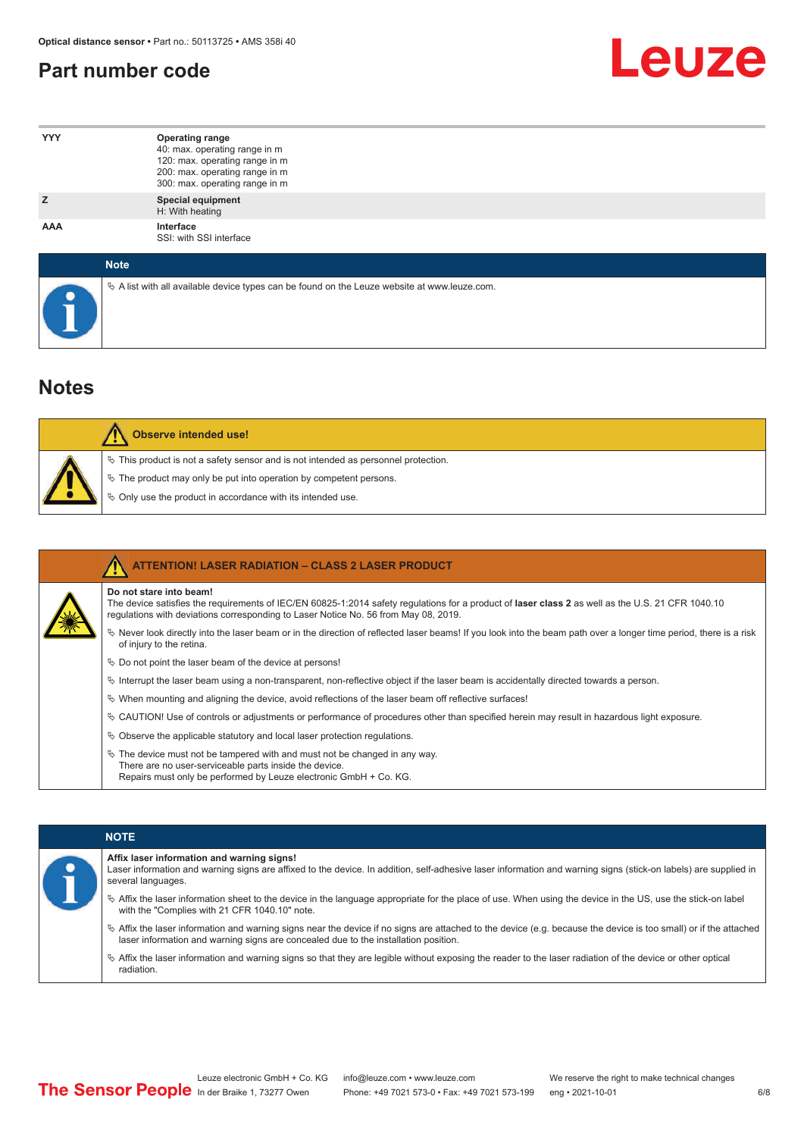#### <span id="page-5-0"></span>**Part number code**



| <b>YYY</b>  | <b>Operating range</b><br>40: max. operating range in m<br>120: max. operating range in m<br>200: max. operating range in m<br>300: max. operating range in m |
|-------------|---------------------------------------------------------------------------------------------------------------------------------------------------------------|
| z           | <b>Special equipment</b><br>H: With heating                                                                                                                   |
| AAA         | Interface<br>SSI: with SSI interface                                                                                                                          |
| <b>Note</b> |                                                                                                                                                               |

 $\%$  A list with all available device types can be found on the Leuze website at www.leuze.com.

#### **Notes**

| Observe intended use!                                                                                                                                                                                                            |
|----------------------------------------------------------------------------------------------------------------------------------------------------------------------------------------------------------------------------------|
| $\%$ This product is not a safety sensor and is not intended as personnel protection.<br>$\%$ The product may only be put into operation by competent persons.<br>$\%$ Only use the product in accordance with its intended use. |

| <b>ATTENTION! LASER RADIATION - CLASS 2 LASER PRODUCT</b>                                                                                                                                                                                                           |
|---------------------------------------------------------------------------------------------------------------------------------------------------------------------------------------------------------------------------------------------------------------------|
| Do not stare into beam!<br>The device satisfies the requirements of IEC/EN 60825-1:2014 safety regulations for a product of laser class 2 as well as the U.S. 21 CFR 1040.10<br>requlations with deviations corresponding to Laser Notice No. 56 from May 08, 2019. |
| Vertal once the laser beam or in the direction of reflected laser beams! If you look into the beam path over a longer time period, there is a risk<br>of injury to the retina.                                                                                      |
| $\%$ Do not point the laser beam of the device at persons!                                                                                                                                                                                                          |
| $\%$ Interrupt the laser beam using a non-transparent, non-reflective object if the laser beam is accidentally directed towards a person.                                                                                                                           |
| $\%$ When mounting and aligning the device, avoid reflections of the laser beam off reflective surfaces!                                                                                                                                                            |
| $\&$ CAUTION! Use of controls or adjustments or performance of procedures other than specified herein may result in hazardous light exposure.                                                                                                                       |
| $\&$ Observe the applicable statutory and local laser protection regulations.                                                                                                                                                                                       |
| $\&$ The device must not be tampered with and must not be changed in any way.<br>There are no user-serviceable parts inside the device.<br>Repairs must only be performed by Leuze electronic GmbH + Co. KG.                                                        |

#### **NOTE**

#### **Affix laser information and warning signs!**

Laser information and warning signs are affixed to the device. In addition, self-adhesive laser information and warning signs (stick-on labels) are supplied in several languages.

- ª Affix the laser information sheet to the device in the language appropriate for the place of use. When using the device in the US, use the stick-on label with the "Complies with 21 CFR 1040.10" note.
- ª Affix the laser information and warning signs near the device if no signs are attached to the device (e.g. because the device is too small) or if the attached laser information and warning signs are concealed due to the installation position.
- ª Affix the laser information and warning signs so that they are legible without exposing the reader to the laser radiation of the device or other optical radiation.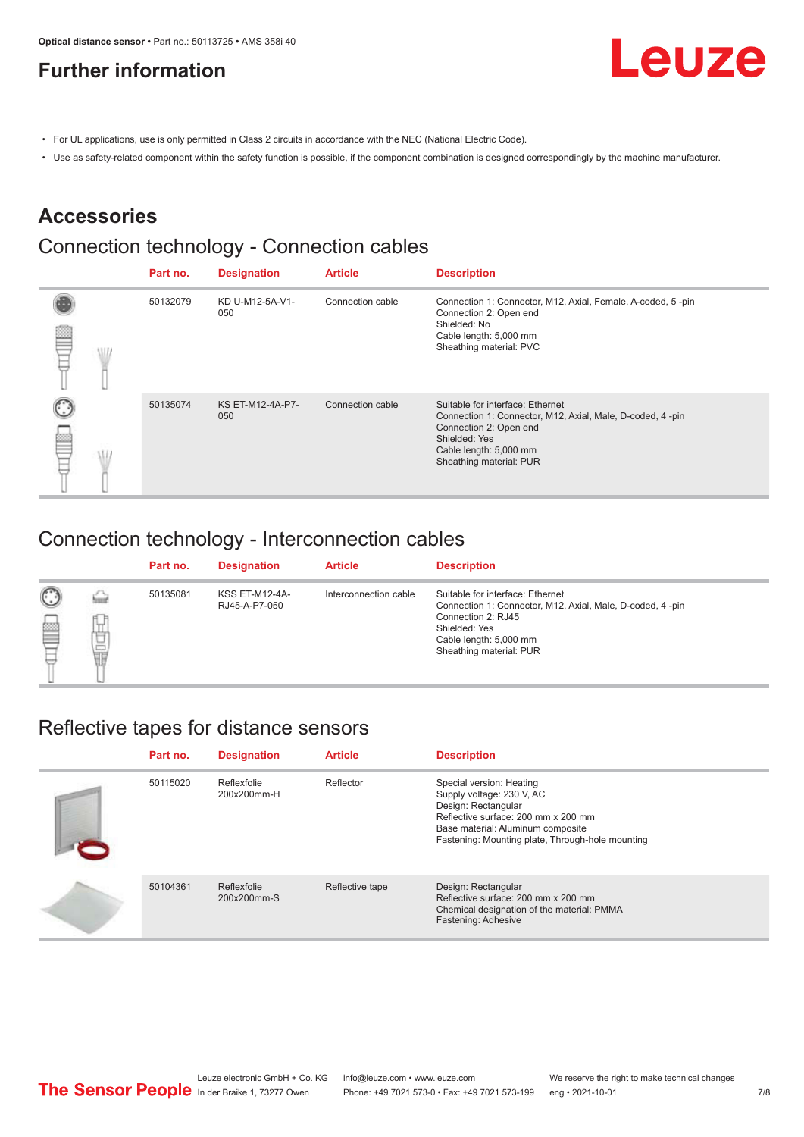### <span id="page-6-0"></span>**Further information**



- For UL applications, use is only permitted in Class 2 circuits in accordance with the NEC (National Electric Code).
- Use as safety-related component within the safety function is possible, if the component combination is designed correspondingly by the machine manufacturer.

#### **Accessories**

## Connection technology - Connection cables

|  | Part no. | <b>Designation</b>      | <b>Article</b>   | <b>Description</b>                                                                                                                                                                            |
|--|----------|-------------------------|------------------|-----------------------------------------------------------------------------------------------------------------------------------------------------------------------------------------------|
|  | 50132079 | KD U-M12-5A-V1-<br>050  | Connection cable | Connection 1: Connector, M12, Axial, Female, A-coded, 5-pin<br>Connection 2: Open end<br>Shielded: No<br>Cable length: 5,000 mm<br>Sheathing material: PVC                                    |
|  | 50135074 | KS ET-M12-4A-P7-<br>050 | Connection cable | Suitable for interface: Ethernet<br>Connection 1: Connector, M12, Axial, Male, D-coded, 4-pin<br>Connection 2: Open end<br>Shielded: Yes<br>Cable length: 5,000 mm<br>Sheathing material: PUR |

#### Connection technology - Interconnection cables

|                   |             | Part no. | <b>Designation</b>                     | <b>Article</b>        | <b>Description</b>                                                                                                                                                                        |
|-------------------|-------------|----------|----------------------------------------|-----------------------|-------------------------------------------------------------------------------------------------------------------------------------------------------------------------------------------|
| $\mathbb{C}$<br>≝ | щ<br>⊔<br>Ī | 50135081 | <b>KSS ET-M12-4A-</b><br>RJ45-A-P7-050 | Interconnection cable | Suitable for interface: Ethernet<br>Connection 1: Connector, M12, Axial, Male, D-coded, 4-pin<br>Connection 2: RJ45<br>Shielded: Yes<br>Cable length: 5,000 mm<br>Sheathing material: PUR |

#### Reflective tapes for distance sensors

| Part no. | <b>Designation</b>         | <b>Article</b>  | <b>Description</b>                                                                                                                                                                                           |
|----------|----------------------------|-----------------|--------------------------------------------------------------------------------------------------------------------------------------------------------------------------------------------------------------|
| 50115020 | Reflexfolie<br>200x200mm-H | Reflector       | Special version: Heating<br>Supply voltage: 230 V, AC<br>Design: Rectangular<br>Reflective surface: 200 mm x 200 mm<br>Base material: Aluminum composite<br>Fastening: Mounting plate, Through-hole mounting |
| 50104361 | Reflexfolie<br>200x200mm-S | Reflective tape | Design: Rectangular<br>Reflective surface: 200 mm x 200 mm<br>Chemical designation of the material: PMMA<br>Fastening: Adhesive                                                                              |